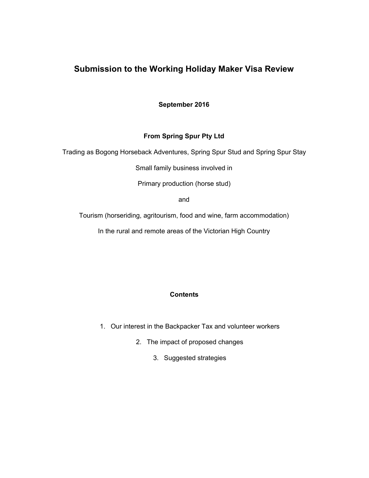# **Submission to the Working Holiday Maker Visa Review**

**September 2016**

# **From Spring Spur Pty Ltd**

Trading as Bogong Horseback Adventures, Spring Spur Stud and Spring Spur Stay

Small family business involved in

Primary production (horse stud)

and

Tourism (horseriding, agritourism, food and wine, farm accommodation)

In the rural and remote areas of the Victorian High Country

## **Contents**

- 1. Our interest in the Backpacker Tax and volunteer workers
	- 2. The impact of proposed changes
		- 3. Suggested strategies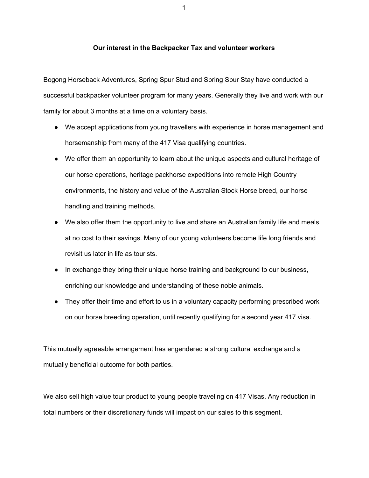#### **Our interest in the Backpacker Tax and volunteer workers**

Bogong Horseback Adventures, Spring Spur Stud and Spring Spur Stay have conducted a successful backpacker volunteer program for many years. Generally they live and work with our family for about 3 months at a time on a voluntary basis.

- We accept applications from young travellers with experience in horse management and horsemanship from many of the 417 Visa qualifying countries.
- We offer them an opportunity to learn about the unique aspects and cultural heritage of our horse operations, heritage packhorse expeditions into remote High Country environments, the history and value of the Australian Stock Horse breed, our horse handling and training methods.
- We also offer them the opportunity to live and share an Australian family life and meals, at no cost to their savings. Many of our young volunteers become life long friends and revisit us later in life as tourists.
- In exchange they bring their unique horse training and background to our business, enriching our knowledge and understanding of these noble animals.
- They offer their time and effort to us in a voluntary capacity performing prescribed work on our horse breeding operation, until recently qualifying for a second year 417 visa.

This mutually agreeable arrangement has engendered a strong cultural exchange and a mutually beneficial outcome for both parties.

We also sell high value tour product to young people traveling on 417 Visas. Any reduction in total numbers or their discretionary funds will impact on our sales to this segment.

1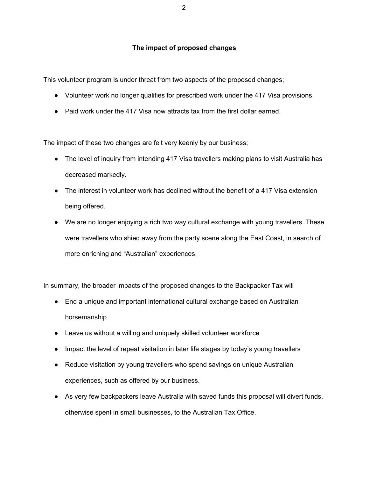### **The impact of proposed changes**

This volunteer program is under threat from two aspects of the proposed changes;

- Volunteer work no longer qualifies for prescribed work under the 417 Visa provisions
- Paid work under the 417 Visa now attracts tax from the first dollar earned.

The impact of these two changes are felt very keenly by our business;

- The level of inquiry from intending 417 Visa travellers making plans to visit Australia has decreased markedly.
- The interest in volunteer work has declined without the benefit of a 417 Visa extension being offered.
- We are no longer enjoying a rich two way cultural exchange with young travellers. These were travellers who shied away from the party scene along the East Coast, in search of more enriching and "Australian" experiences.

In summary, the broader impacts of the proposed changes to the Backpacker Tax will

- End a unique and important international cultural exchange based on Australian horsemanship
- Leave us without a willing and uniquely skilled volunteer workforce
- Impact the level of repeat visitation in later life stages by today's young travellers
- Reduce visitation by young travellers who spend savings on unique Australian experiences, such as offered by our business.
- As very few backpackers leave Australia with saved funds this proposal will divert funds, otherwise spent in small businesses, to the Australian Tax Office.

2